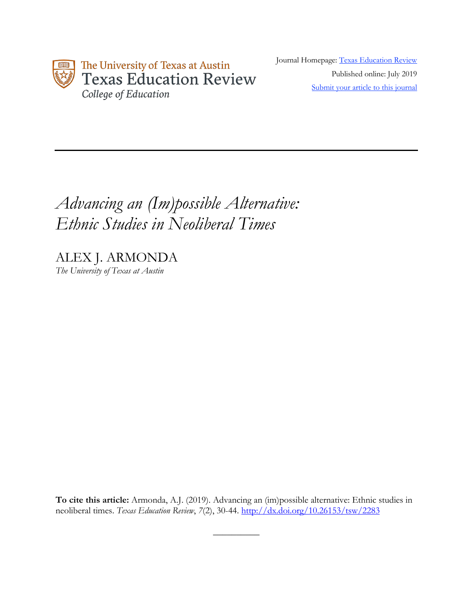

Journal Homepage: Texas Education Review Published online: July 2019 Submit your article to this journal

# *Advancing an (Im)possible Alternative: Ethnic Studies in Neoliberal Times*

ALEX J. ARMONDA *The University of Texas at Austin*

**To cite this article:** Armonda, A.J. (2019). Advancing an (im)possible alternative: Ethnic studies in neoliberal times. *Texas Education Review*, *7*(2), 30-44. http://dx.doi.org/10.26153/tsw/2283

 $\overline{\phantom{a}}$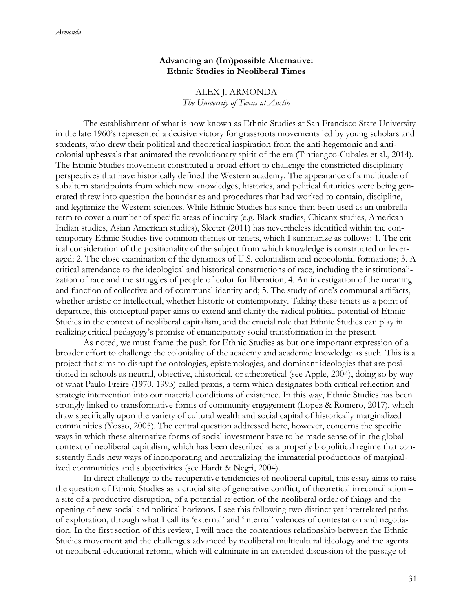# **Advancing an (Im)possible Alternative: Ethnic Studies in Neoliberal Times**

ALEX J. ARMONDA *The University of Texas at Austin*

The establishment of what is now known as Ethnic Studies at San Francisco State University in the late 1960's represented a decisive victory for grassroots movements led by young scholars and students, who drew their political and theoretical inspiration from the anti-hegemonic and anticolonial upheavals that animated the revolutionary spirit of the era (Tintiangco-Cubales et al., 2014). The Ethnic Studies movement constituted a broad effort to challenge the constricted disciplinary perspectives that have historically defined the Western academy. The appearance of a multitude of subaltern standpoints from which new knowledges, histories, and political futurities were being generated threw into question the boundaries and procedures that had worked to contain, discipline, and legitimize the Western sciences. While Ethnic Studies has since then been used as an umbrella term to cover a number of specific areas of inquiry (e.g. Black studies, Chicanx studies, American Indian studies, Asian American studies), Sleeter (2011) has nevertheless identified within the contemporary Ethnic Studies five common themes or tenets, which I summarize as follows: 1. The critical consideration of the positionality of the subject from which knowledge is constructed or leveraged; 2. The close examination of the dynamics of U.S. colonialism and neocolonial formations; 3. A critical attendance to the ideological and historical constructions of race, including the institutionalization of race and the struggles of people of color for liberation; 4. An investigation of the meaning and function of collective and of communal identity and; 5. The study of one's communal artifacts, whether artistic or intellectual, whether historic or contemporary. Taking these tenets as a point of departure, this conceptual paper aims to extend and clarify the radical political potential of Ethnic Studies in the context of neoliberal capitalism, and the crucial role that Ethnic Studies can play in realizing critical pedagogy's promise of emancipatory social transformation in the present.

As noted, we must frame the push for Ethnic Studies as but one important expression of a broader effort to challenge the coloniality of the academy and academic knowledge as such. This is a project that aims to disrupt the ontologies, epistemologies, and dominant ideologies that are positioned in schools as neutral, objective, ahistorical, or atheoretical (see Apple, 2004), doing so by way of what Paulo Freire (1970, 1993) called praxis, a term which designates both critical reflection and strategic intervention into our material conditions of existence. In this way, Ethnic Studies has been strongly linked to transformative forms of community engagement (Lopez & Romero, 2017), which draw specifically upon the variety of cultural wealth and social capital of historically marginalized communities (Yosso, 2005). The central question addressed here, however, concerns the specific ways in which these alternative forms of social investment have to be made sense of in the global context of neoliberal capitalism, which has been described as a properly biopolitical regime that consistently finds new ways of incorporating and neutralizing the immaterial productions of marginalized communities and subjectivities (see Hardt & Negri, 2004).

In direct challenge to the recuperative tendencies of neoliberal capital, this essay aims to raise the question of Ethnic Studies as a crucial site of generative conflict, of theoretical irreconciliation – a site of a productive disruption, of a potential rejection of the neoliberal order of things and the opening of new social and political horizons. I see this following two distinct yet interrelated paths of exploration, through what I call its 'external' and 'internal' valences of contestation and negotiation. In the first section of this review, I will trace the contentious relationship between the Ethnic Studies movement and the challenges advanced by neoliberal multicultural ideology and the agents of neoliberal educational reform, which will culminate in an extended discussion of the passage of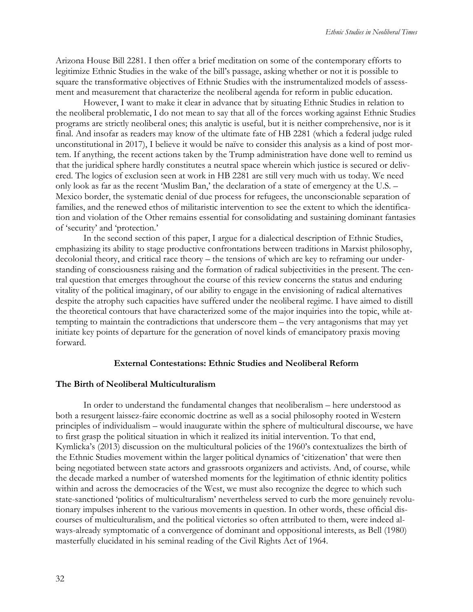Arizona House Bill 2281. I then offer a brief meditation on some of the contemporary efforts to legitimize Ethnic Studies in the wake of the bill's passage, asking whether or not it is possible to square the transformative objectives of Ethnic Studies with the instrumentalized models of assessment and measurement that characterize the neoliberal agenda for reform in public education.

However, I want to make it clear in advance that by situating Ethnic Studies in relation to the neoliberal problematic, I do not mean to say that all of the forces working against Ethnic Studies programs are strictly neoliberal ones; this analytic is useful, but it is neither comprehensive, nor is it final. And insofar as readers may know of the ultimate fate of HB 2281 (which a federal judge ruled unconstitutional in 2017), I believe it would be naïve to consider this analysis as a kind of post mortem. If anything, the recent actions taken by the Trump administration have done well to remind us that the juridical sphere hardly constitutes a neutral space wherein which justice is secured or delivered. The logics of exclusion seen at work in HB 2281 are still very much with us today. We need only look as far as the recent 'Muslim Ban,' the declaration of a state of emergency at the U.S. – Mexico border, the systematic denial of due process for refugees, the unconscionable separation of families, and the renewed ethos of militaristic intervention to see the extent to which the identification and violation of the Other remains essential for consolidating and sustaining dominant fantasies of 'security' and 'protection.'

In the second section of this paper, I argue for a dialectical description of Ethnic Studies, emphasizing its ability to stage productive confrontations between traditions in Marxist philosophy, decolonial theory, and critical race theory – the tensions of which are key to reframing our understanding of consciousness raising and the formation of radical subjectivities in the present. The central question that emerges throughout the course of this review concerns the status and enduring vitality of the political imaginary, of our ability to engage in the envisioning of radical alternatives despite the atrophy such capacities have suffered under the neoliberal regime. I have aimed to distill the theoretical contours that have characterized some of the major inquiries into the topic, while attempting to maintain the contradictions that underscore them – the very antagonisms that may yet initiate key points of departure for the generation of novel kinds of emancipatory praxis moving forward.

#### **External Contestations: Ethnic Studies and Neoliberal Reform**

## **The Birth of Neoliberal Multiculturalism**

In order to understand the fundamental changes that neoliberalism – here understood as both a resurgent laissez-faire economic doctrine as well as a social philosophy rooted in Western principles of individualism – would inaugurate within the sphere of multicultural discourse, we have to first grasp the political situation in which it realized its initial intervention. To that end, Kymlicka's (2013) discussion on the multicultural policies of the 1960's contextualizes the birth of the Ethnic Studies movement within the larger political dynamics of 'citizenation' that were then being negotiated between state actors and grassroots organizers and activists. And, of course, while the decade marked a number of watershed moments for the legitimation of ethnic identity politics within and across the democracies of the West, we must also recognize the degree to which such state-sanctioned 'politics of multiculturalism' nevertheless served to curb the more genuinely revolutionary impulses inherent to the various movements in question. In other words, these official discourses of multiculturalism, and the political victories so often attributed to them, were indeed always-already symptomatic of a convergence of dominant and oppositional interests, as Bell (1980) masterfully elucidated in his seminal reading of the Civil Rights Act of 1964.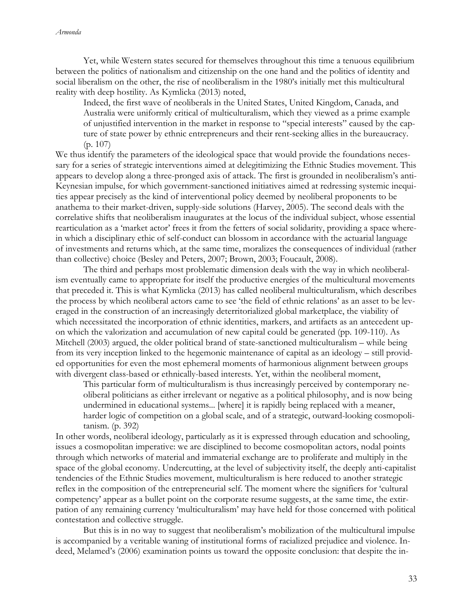Yet, while Western states secured for themselves throughout this time a tenuous equilibrium between the politics of nationalism and citizenship on the one hand and the politics of identity and social liberalism on the other, the rise of neoliberalism in the 1980's initially met this multicultural reality with deep hostility. As Kymlicka (2013) noted,

Indeed, the first wave of neoliberals in the United States, United Kingdom, Canada, and Australia were uniformly critical of multiculturalism, which they viewed as a prime example of unjustified intervention in the market in response to "special interests" caused by the capture of state power by ethnic entrepreneurs and their rent-seeking allies in the bureaucracy. (p. 107)

We thus identify the parameters of the ideological space that would provide the foundations necessary for a series of strategic interventions aimed at delegitimizing the Ethnic Studies movement. This appears to develop along a three-pronged axis of attack. The first is grounded in neoliberalism's anti-Keynesian impulse, for which government-sanctioned initiatives aimed at redressing systemic inequities appear precisely as the kind of interventional policy deemed by neoliberal proponents to be anathema to their market-driven, supply-side solutions (Harvey, 2005). The second deals with the correlative shifts that neoliberalism inaugurates at the locus of the individual subject, whose essential rearticulation as a 'market actor' frees it from the fetters of social solidarity, providing a space wherein which a disciplinary ethic of self-conduct can blossom in accordance with the actuarial language of investments and returns which, at the same time, moralizes the consequences of individual (rather than collective) choice (Besley and Peters, 2007; Brown, 2003; Foucault, 2008).

The third and perhaps most problematic dimension deals with the way in which neoliberalism eventually came to appropriate for itself the productive energies of the multicultural movements that preceded it. This is what Kymlicka (2013) has called neoliberal multiculturalism, which describes the process by which neoliberal actors came to see 'the field of ethnic relations' as an asset to be leveraged in the construction of an increasingly deterritorialized global marketplace, the viability of which necessitated the incorporation of ethnic identities, markers, and artifacts as an antecedent upon which the valorization and accumulation of new capital could be generated (pp. 109-110). As Mitchell (2003) argued, the older political brand of state-sanctioned multiculturalism – while being from its very inception linked to the hegemonic maintenance of capital as an ideology – still provided opportunities for even the most ephemeral moments of harmonious alignment between groups with divergent class-based or ethnically-based interests. Yet, within the neoliberal moment,

This particular form of multiculturalism is thus increasingly perceived by contemporary neoliberal politicians as either irrelevant or negative as a political philosophy, and is now being undermined in educational systems... [where] it is rapidly being replaced with a meaner, harder logic of competition on a global scale, and of a strategic, outward-looking cosmopolitanism. (p. 392)

In other words, neoliberal ideology, particularly as it is expressed through education and schooling, issues a cosmopolitan imperative: we are disciplined to become cosmopolitan actors, nodal points through which networks of material and immaterial exchange are to proliferate and multiply in the space of the global economy. Undercutting, at the level of subjectivity itself, the deeply anti-capitalist tendencies of the Ethnic Studies movement, multiculturalism is here reduced to another strategic reflex in the composition of the entrepreneurial self. The moment where the signifiers for 'cultural competency' appear as a bullet point on the corporate resume suggests, at the same time, the extirpation of any remaining currency 'multiculturalism' may have held for those concerned with political contestation and collective struggle.

But this is in no way to suggest that neoliberalism's mobilization of the multicultural impulse is accompanied by a veritable waning of institutional forms of racialized prejudice and violence. Indeed, Melamed's (2006) examination points us toward the opposite conclusion: that despite the in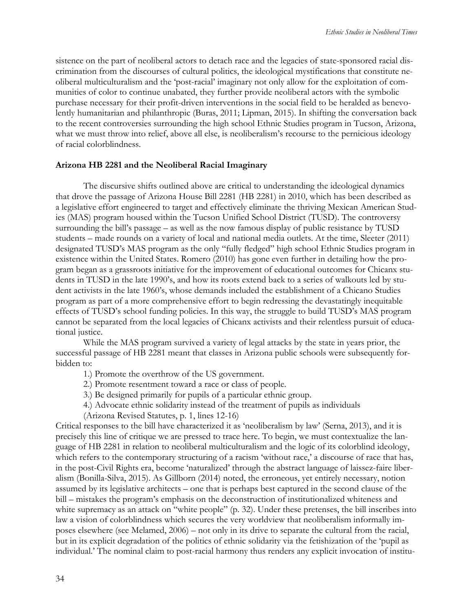sistence on the part of neoliberal actors to detach race and the legacies of state-sponsored racial discrimination from the discourses of cultural politics, the ideological mystifications that constitute neoliberal multiculturalism and the 'post-racial' imaginary not only allow for the exploitation of communities of color to continue unabated, they further provide neoliberal actors with the symbolic purchase necessary for their profit-driven interventions in the social field to be heralded as benevolently humanitarian and philanthropic (Buras, 2011; Lipman, 2015). In shifting the conversation back to the recent controversies surrounding the high school Ethnic Studies program in Tucson, Arizona, what we must throw into relief, above all else, is neoliberalism's recourse to the pernicious ideology of racial colorblindness.

## **Arizona HB 2281 and the Neoliberal Racial Imaginary**

The discursive shifts outlined above are critical to understanding the ideological dynamics that drove the passage of Arizona House Bill 2281 (HB 2281) in 2010, which has been described as a legislative effort engineered to target and effectively eliminate the thriving Mexican American Studies (MAS) program housed within the Tucson Unified School District (TUSD). The controversy surrounding the bill's passage – as well as the now famous display of public resistance by TUSD students – made rounds on a variety of local and national media outlets. At the time, Sleeter (2011) designated TUSD's MAS program as the only "fully fledged" high school Ethnic Studies program in existence within the United States. Romero (2010) has gone even further in detailing how the program began as a grassroots initiative for the improvement of educational outcomes for Chicanx students in TUSD in the late 1990's, and how its roots extend back to a series of walkouts led by student activists in the late 1960's, whose demands included the establishment of a Chicano Studies program as part of a more comprehensive effort to begin redressing the devastatingly inequitable effects of TUSD's school funding policies. In this way, the struggle to build TUSD's MAS program cannot be separated from the local legacies of Chicanx activists and their relentless pursuit of educational justice.

While the MAS program survived a variety of legal attacks by the state in years prior, the successful passage of HB 2281 meant that classes in Arizona public schools were subsequently forbidden to:

- 1.) Promote the overthrow of the US government.
- 2.) Promote resentment toward a race or class of people.
- 3.) Be designed primarily for pupils of a particular ethnic group.
- 4.) Advocate ethnic solidarity instead of the treatment of pupils as individuals
- (Arizona Revised Statutes, p. 1, lines 12-16)

Critical responses to the bill have characterized it as 'neoliberalism by law' (Serna, 2013), and it is precisely this line of critique we are pressed to trace here. To begin, we must contextualize the language of HB 2281 in relation to neoliberal multiculturalism and the logic of its colorblind ideology, which refers to the contemporary structuring of a racism 'without race,' a discourse of race that has, in the post-Civil Rights era, become 'naturalized' through the abstract language of laissez-faire liberalism (Bonilla-Silva, 2015). As Gillborn (2014) noted, the erroneous, yet entirely necessary, notion assumed by its legislative architects – one that is perhaps best captured in the second clause of the bill – mistakes the program's emphasis on the deconstruction of institutionalized whiteness and white supremacy as an attack on "white people" (p. 32). Under these pretenses, the bill inscribes into law a vision of colorblindness which secures the very worldview that neoliberalism informally imposes elsewhere (see Melamed, 2006) – not only in its drive to separate the cultural from the racial, but in its explicit degradation of the politics of ethnic solidarity via the fetishization of the 'pupil as individual.' The nominal claim to post-racial harmony thus renders any explicit invocation of institu-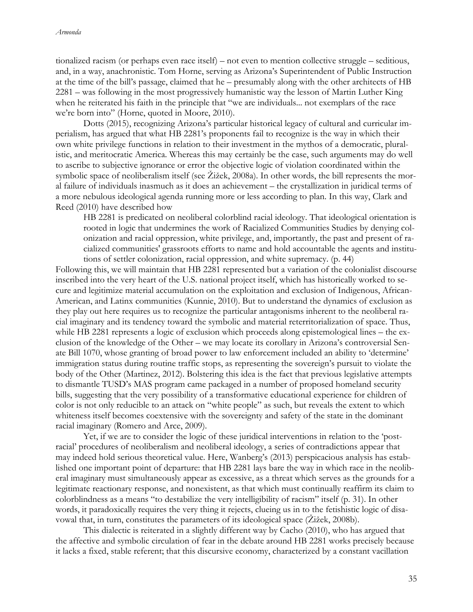tionalized racism (or perhaps even race itself) – not even to mention collective struggle – seditious, and, in a way, anachronistic. Tom Horne, serving as Arizona's Superintendent of Public Instruction at the time of the bill's passage, claimed that he – presumably along with the other architects of HB 2281 – was following in the most progressively humanistic way the lesson of Martin Luther King when he reiterated his faith in the principle that "we are individuals... not exemplars of the race we're born into" (Horne, quoted in Moore, 2010).

Dotts (2015), recognizing Arizona's particular historical legacy of cultural and curricular imperialism, has argued that what HB 2281's proponents fail to recognize is the way in which their own white privilege functions in relation to their investment in the mythos of a democratic, pluralistic, and meritocratic America. Whereas this may certainly be the case, such arguments may do well to ascribe to subjective ignorance or error the objective logic of violation coordinated within the symbolic space of neoliberalism itself (see Žižek, 2008a). In other words, the bill represents the moral failure of individuals inasmuch as it does an achievement – the crystallization in juridical terms of a more nebulous ideological agenda running more or less according to plan. In this way, Clark and Reed (2010) have described how

HB 2281 is predicated on neoliberal colorblind racial ideology. That ideological orientation is rooted in logic that undermines the work of Racialized Communities Studies by denying colonization and racial oppression, white privilege, and, importantly, the past and present of racialized communities' grassroots efforts to name and hold accountable the agents and institutions of settler colonization, racial oppression, and white supremacy. (p. 44)

Following this, we will maintain that HB 2281 represented but a variation of the colonialist discourse inscribed into the very heart of the U.S. national project itself, which has historically worked to secure and legitimize material accumulation on the exploitation and exclusion of Indigenous, African-American, and Latinx communities (Kunnie, 2010). But to understand the dynamics of exclusion as they play out here requires us to recognize the particular antagonisms inherent to the neoliberal racial imaginary and its tendency toward the symbolic and material reterritorialization of space. Thus, while HB 2281 represents a logic of exclusion which proceeds along epistemological lines – the exclusion of the knowledge of the Other – we may locate its corollary in Arizona's controversial Senate Bill 1070, whose granting of broad power to law enforcement included an ability to 'determine' immigration status during routine traffic stops, as representing the sovereign's pursuit to violate the body of the Other (Martinez, 2012). Bolstering this idea is the fact that previous legislative attempts to dismantle TUSD's MAS program came packaged in a number of proposed homeland security bills, suggesting that the very possibility of a transformative educational experience for children of color is not only reducible to an attack on "white people" as such, but reveals the extent to which whiteness itself becomes coextensive with the sovereignty and safety of the state in the dominant racial imaginary (Romero and Arce, 2009).

Yet, if we are to consider the logic of these juridical interventions in relation to the 'postracial' procedures of neoliberalism and neoliberal ideology, a series of contradictions appear that may indeed hold serious theoretical value. Here, Wanberg's (2013) perspicacious analysis has established one important point of departure: that HB 2281 lays bare the way in which race in the neoliberal imaginary must simultaneously appear as excessive, as a threat which serves as the grounds for a legitimate reactionary response, and nonexistent, as that which must continually reaffirm its claim to colorblindness as a means "to destabilize the very intelligibility of racism" itself (p. 31). In other words, it paradoxically requires the very thing it rejects, clueing us in to the fetishistic logic of disavowal that, in turn, constitutes the parameters of its ideological space (Žižek, 2008b).

This dialectic is reiterated in a slightly different way by Cacho (2010), who has argued that the affective and symbolic circulation of fear in the debate around HB 2281 works precisely because it lacks a fixed, stable referent; that this discursive economy, characterized by a constant vacillation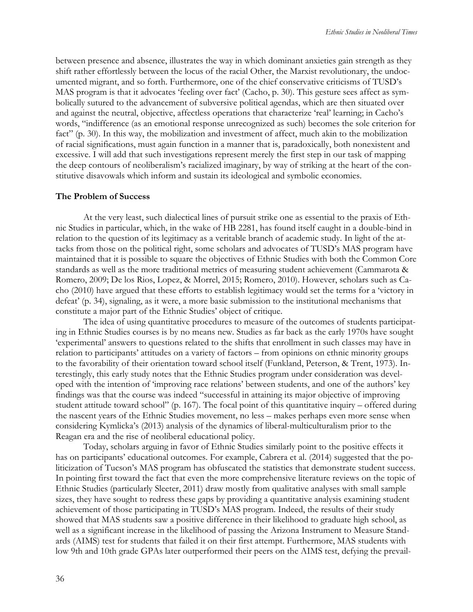between presence and absence, illustrates the way in which dominant anxieties gain strength as they shift rather effortlessly between the locus of the racial Other, the Marxist revolutionary, the undocumented migrant, and so forth. Furthermore, one of the chief conservative criticisms of TUSD's MAS program is that it advocates 'feeling over fact' (Cacho, p. 30). This gesture sees affect as symbolically sutured to the advancement of subversive political agendas, which are then situated over and against the neutral, objective, affectless operations that characterize 'real' learning; in Cacho's words, "indifference (as an emotional response unrecognized as such) becomes the sole criterion for fact" (p. 30). In this way, the mobilization and investment of affect, much akin to the mobilization of racial significations, must again function in a manner that is, paradoxically, both nonexistent and excessive. I will add that such investigations represent merely the first step in our task of mapping the deep contours of neoliberalism's racialized imaginary, by way of striking at the heart of the constitutive disavowals which inform and sustain its ideological and symbolic economies.

#### **The Problem of Success**

At the very least, such dialectical lines of pursuit strike one as essential to the praxis of Ethnic Studies in particular, which, in the wake of HB 2281, has found itself caught in a double-bind in relation to the question of its legitimacy as a veritable branch of academic study. In light of the attacks from those on the political right, some scholars and advocates of TUSD's MAS program have maintained that it is possible to square the objectives of Ethnic Studies with both the Common Core standards as well as the more traditional metrics of measuring student achievement (Cammarota & Romero, 2009; De los Rios, Lopez, & Morrel, 2015; Romero, 2010). However, scholars such as Cacho (2010) have argued that these efforts to establish legitimacy would set the terms for a 'victory in defeat' (p. 34), signaling, as it were, a more basic submission to the institutional mechanisms that constitute a major part of the Ethnic Studies' object of critique.

The idea of using quantitative procedures to measure of the outcomes of students participating in Ethnic Studies courses is by no means new. Studies as far back as the early 1970s have sought 'experimental' answers to questions related to the shifts that enrollment in such classes may have in relation to participants' attitudes on a variety of factors – from opinions on ethnic minority groups to the favorability of their orientation toward school itself (Funkland, Peterson, & Trent, 1973). Interestingly, this early study notes that the Ethnic Studies program under consideration was developed with the intention of 'improving race relations' between students, and one of the authors' key findings was that the course was indeed "successful in attaining its major objective of improving student attitude toward school" (p. 167). The focal point of this quantitative inquiry – offered during the nascent years of the Ethnic Studies movement, no less – makes perhaps even more sense when considering Kymlicka's (2013) analysis of the dynamics of liberal-multiculturalism prior to the Reagan era and the rise of neoliberal educational policy.

Today, scholars arguing in favor of Ethnic Studies similarly point to the positive effects it has on participants' educational outcomes. For example, Cabrera et al. (2014) suggested that the politicization of Tucson's MAS program has obfuscated the statistics that demonstrate student success. In pointing first toward the fact that even the more comprehensive literature reviews on the topic of Ethnic Studies (particularly Sleeter, 2011) draw mostly from qualitative analyses with small sample sizes, they have sought to redress these gaps by providing a quantitative analysis examining student achievement of those participating in TUSD's MAS program. Indeed, the results of their study showed that MAS students saw a positive difference in their likelihood to graduate high school, as well as a significant increase in the likelihood of passing the Arizona Instrument to Measure Standards (AIMS) test for students that failed it on their first attempt. Furthermore, MAS students with low 9th and 10th grade GPAs later outperformed their peers on the AIMS test, defying the prevail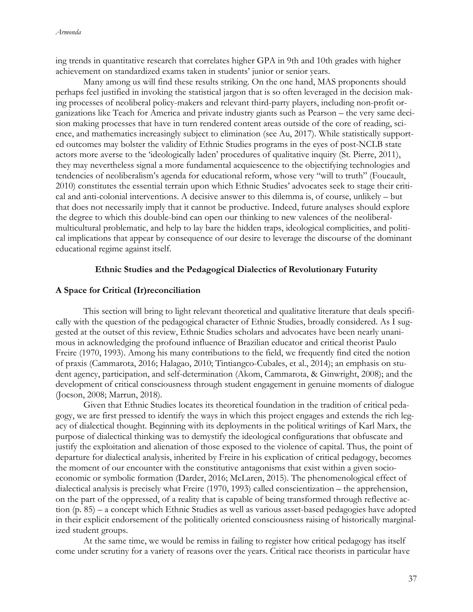ing trends in quantitative research that correlates higher GPA in 9th and 10th grades with higher achievement on standardized exams taken in students' junior or senior years.

Many among us will find these results striking. On the one hand, MAS proponents should perhaps feel justified in invoking the statistical jargon that is so often leveraged in the decision making processes of neoliberal policy-makers and relevant third-party players, including non-profit organizations like Teach for America and private industry giants such as Pearson – the very same decision making processes that have in turn rendered content areas outside of the core of reading, science, and mathematics increasingly subject to elimination (see Au, 2017). While statistically supported outcomes may bolster the validity of Ethnic Studies programs in the eyes of post-NCLB state actors more averse to the 'ideologically laden' procedures of qualitative inquiry (St. Pierre, 2011), they may nevertheless signal a more fundamental acquiescence to the objectifying technologies and tendencies of neoliberalism's agenda for educational reform, whose very "will to truth" (Foucault, 2010) constitutes the essential terrain upon which Ethnic Studies' advocates seek to stage their critical and anti-colonial interventions. A decisive answer to this dilemma is, of course, unlikely – but that does not necessarily imply that it cannot be productive. Indeed, future analyses should explore the degree to which this double-bind can open our thinking to new valences of the neoliberalmulticultural problematic, and help to lay bare the hidden traps, ideological complicities, and political implications that appear by consequence of our desire to leverage the discourse of the dominant educational regime against itself.

#### **Ethnic Studies and the Pedagogical Dialectics of Revolutionary Futurity**

#### **A Space for Critical (Ir)reconciliation**

This section will bring to light relevant theoretical and qualitative literature that deals specifically with the question of the pedagogical character of Ethnic Studies, broadly considered. As I suggested at the outset of this review, Ethnic Studies scholars and advocates have been nearly unanimous in acknowledging the profound influence of Brazilian educator and critical theorist Paulo Freire (1970, 1993). Among his many contributions to the field, we frequently find cited the notion of praxis (Cammarota, 2016; Halagao, 2010; Tintiangco-Cubales, et al., 2014); an emphasis on student agency, participation, and self-determination (Akom, Cammarota, & Ginwright, 2008); and the development of critical consciousness through student engagement in genuine moments of dialogue (Jocson, 2008; Marrun, 2018).

Given that Ethnic Studies locates its theoretical foundation in the tradition of critical pedagogy, we are first pressed to identify the ways in which this project engages and extends the rich legacy of dialectical thought. Beginning with its deployments in the political writings of Karl Marx, the purpose of dialectical thinking was to demystify the ideological configurations that obfuscate and justify the exploitation and alienation of those exposed to the violence of capital. Thus, the point of departure for dialectical analysis, inherited by Freire in his explication of critical pedagogy, becomes the moment of our encounter with the constitutive antagonisms that exist within a given socioeconomic or symbolic formation (Darder, 2016; McLaren, 2015). The phenomenological effect of dialectical analysis is precisely what Freire (1970, 1993) called conscientization – the apprehension, on the part of the oppressed, of a reality that is capable of being transformed through reflective action (p. 85) – a concept which Ethnic Studies as well as various asset-based pedagogies have adopted in their explicit endorsement of the politically oriented consciousness raising of historically marginalized student groups.

At the same time, we would be remiss in failing to register how critical pedagogy has itself come under scrutiny for a variety of reasons over the years. Critical race theorists in particular have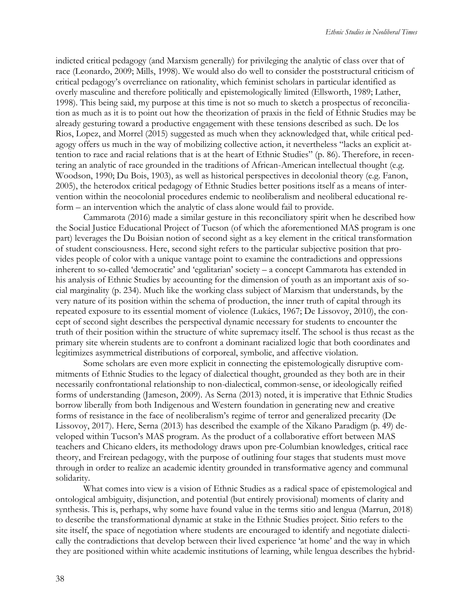indicted critical pedagogy (and Marxism generally) for privileging the analytic of class over that of race (Leonardo, 2009; Mills, 1998). We would also do well to consider the poststructural criticism of critical pedagogy's overreliance on rationality, which feminist scholars in particular identified as overly masculine and therefore politically and epistemologically limited (Ellsworth, 1989; Lather, 1998). This being said, my purpose at this time is not so much to sketch a prospectus of reconciliation as much as it is to point out how the theorization of praxis in the field of Ethnic Studies may be already gesturing toward a productive engagement with these tensions described as such. De los Rios, Lopez, and Morrel (2015) suggested as much when they acknowledged that, while critical pedagogy offers us much in the way of mobilizing collective action, it nevertheless "lacks an explicit attention to race and racial relations that is at the heart of Ethnic Studies" (p. 86). Therefore, in recentering an analytic of race grounded in the traditions of African-American intellectual thought (e.g. Woodson, 1990; Du Bois, 1903), as well as historical perspectives in decolonial theory (e.g. Fanon, 2005), the heterodox critical pedagogy of Ethnic Studies better positions itself as a means of intervention within the neocolonial procedures endemic to neoliberalism and neoliberal educational reform – an intervention which the analytic of class alone would fail to provide.

Cammarota (2016) made a similar gesture in this reconciliatory spirit when he described how the Social Justice Educational Project of Tucson (of which the aforementioned MAS program is one part) leverages the Du Boisian notion of second sight as a key element in the critical transformation of student consciousness. Here, second sight refers to the particular subjective position that provides people of color with a unique vantage point to examine the contradictions and oppressions inherent to so-called 'democratic' and 'egalitarian' society – a concept Cammarota has extended in his analysis of Ethnic Studies by accounting for the dimension of youth as an important axis of social marginality (p. 234). Much like the working class subject of Marxism that understands, by the very nature of its position within the schema of production, the inner truth of capital through its repeated exposure to its essential moment of violence (Lukács, 1967; De Lissovoy, 2010), the concept of second sight describes the perspectival dynamic necessary for students to encounter the truth of their position within the structure of white supremacy itself. The school is thus recast as the primary site wherein students are to confront a dominant racialized logic that both coordinates and legitimizes asymmetrical distributions of corporeal, symbolic, and affective violation.

Some scholars are even more explicit in connecting the epistemologically disruptive commitments of Ethnic Studies to the legacy of dialectical thought, grounded as they both are in their necessarily confrontational relationship to non-dialectical, common-sense, or ideologically reified forms of understanding (Jameson, 2009). As Serna (2013) noted, it is imperative that Ethnic Studies borrow liberally from both Indigenous and Western foundation in generating new and creative forms of resistance in the face of neoliberalism's regime of terror and generalized precarity (De Lissovoy, 2017). Here, Serna (2013) has described the example of the Xikano Paradigm (p. 49) developed within Tucson's MAS program. As the product of a collaborative effort between MAS teachers and Chicano elders, its methodology draws upon pre-Columbian knowledges, critical race theory, and Freirean pedagogy, with the purpose of outlining four stages that students must move through in order to realize an academic identity grounded in transformative agency and communal solidarity.

What comes into view is a vision of Ethnic Studies as a radical space of epistemological and ontological ambiguity, disjunction, and potential (but entirely provisional) moments of clarity and synthesis. This is, perhaps, why some have found value in the terms sitio and lengua (Marrun, 2018) to describe the transformational dynamic at stake in the Ethnic Studies project. Sitio refers to the site itself, the space of negotiation where students are encouraged to identify and negotiate dialectically the contradictions that develop between their lived experience 'at home' and the way in which they are positioned within white academic institutions of learning, while lengua describes the hybrid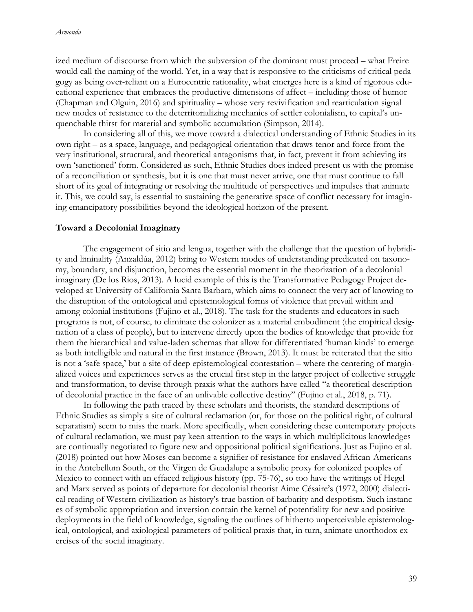ized medium of discourse from which the subversion of the dominant must proceed – what Freire would call the naming of the world. Yet, in a way that is responsive to the criticisms of critical pedagogy as being over-reliant on a Eurocentric rationality, what emerges here is a kind of rigorous educational experience that embraces the productive dimensions of affect – including those of humor (Chapman and Olguin, 2016) and spirituality – whose very revivification and rearticulation signal new modes of resistance to the deterritorializing mechanics of settler colonialism, to capital's unquenchable thirst for material and symbolic accumulation (Simpson, 2014).

In considering all of this, we move toward a dialectical understanding of Ethnic Studies in its own right – as a space, language, and pedagogical orientation that draws tenor and force from the very institutional, structural, and theoretical antagonisms that, in fact, prevent it from achieving its own 'sanctioned' form. Considered as such, Ethnic Studies does indeed present us with the promise of a reconciliation or synthesis, but it is one that must never arrive, one that must continue to fall short of its goal of integrating or resolving the multitude of perspectives and impulses that animate it. This, we could say, is essential to sustaining the generative space of conflict necessary for imagining emancipatory possibilities beyond the ideological horizon of the present.

#### **Toward a Decolonial Imaginary**

The engagement of sitio and lengua, together with the challenge that the question of hybridity and liminality (Anzaldúa, 2012) bring to Western modes of understanding predicated on taxonomy, boundary, and disjunction, becomes the essential moment in the theorization of a decolonial imaginary (De los Rios, 2013). A lucid example of this is the Transformative Pedagogy Project developed at University of California Santa Barbara, which aims to connect the very act of knowing to the disruption of the ontological and epistemological forms of violence that prevail within and among colonial institutions (Fujino et al., 2018). The task for the students and educators in such programs is not, of course, to eliminate the colonizer as a material embodiment (the empirical designation of a class of people), but to intervene directly upon the bodies of knowledge that provide for them the hierarchical and value-laden schemas that allow for differentiated 'human kinds' to emerge as both intelligible and natural in the first instance (Brown, 2013). It must be reiterated that the sitio is not a 'safe space,' but a site of deep epistemological contestation – where the centering of marginalized voices and experiences serves as the crucial first step in the larger project of collective struggle and transformation, to devise through praxis what the authors have called "a theoretical description of decolonial practice in the face of an unlivable collective destiny" (Fujino et al., 2018, p. 71).

In following the path traced by these scholars and theorists, the standard descriptions of Ethnic Studies as simply a site of cultural reclamation (or, for those on the political right, of cultural separatism) seem to miss the mark. More specifically, when considering these contemporary projects of cultural reclamation, we must pay keen attention to the ways in which multiplicitous knowledges are continually negotiated to figure new and oppositional political significations. Just as Fujino et al. (2018) pointed out how Moses can become a signifier of resistance for enslaved African-Americans in the Antebellum South, or the Virgen de Guadalupe a symbolic proxy for colonized peoples of Mexico to connect with an effaced religious history (pp. 75-76), so too have the writings of Hegel and Marx served as points of departure for decolonial theorist Aime Césaire's (1972, 2000) dialectical reading of Western civilization as history's true bastion of barbarity and despotism. Such instances of symbolic appropriation and inversion contain the kernel of potentiality for new and positive deployments in the field of knowledge, signaling the outlines of hitherto unperceivable epistemological, ontological, and axiological parameters of political praxis that, in turn, animate unorthodox exercises of the social imaginary.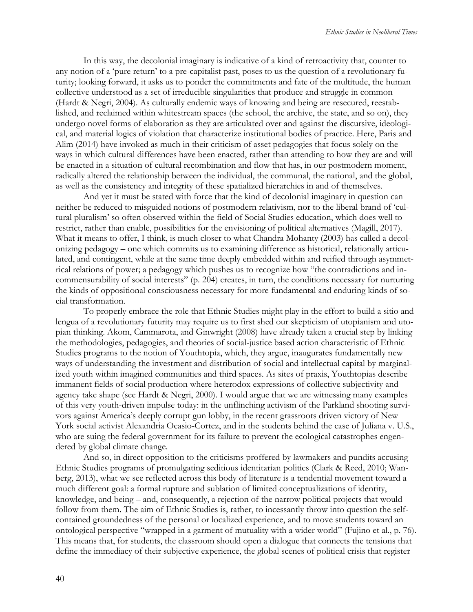In this way, the decolonial imaginary is indicative of a kind of retroactivity that, counter to any notion of a 'pure return' to a pre-capitalist past, poses to us the question of a revolutionary futurity; looking forward, it asks us to ponder the commitments and fate of the multitude, the human collective understood as a set of irreducible singularities that produce and struggle in common (Hardt & Negri, 2004). As culturally endemic ways of knowing and being are resecured, reestablished, and reclaimed within whitestream spaces (the school, the archive, the state, and so on), they undergo novel forms of elaboration as they are articulated over and against the discursive, ideological, and material logics of violation that characterize institutional bodies of practice. Here, Paris and Alim (2014) have invoked as much in their criticism of asset pedagogies that focus solely on the ways in which cultural differences have been enacted, rather than attending to how they are and will be enacted in a situation of cultural recombination and flow that has, in our postmodern moment, radically altered the relationship between the individual, the communal, the national, and the global, as well as the consistency and integrity of these spatialized hierarchies in and of themselves.

And yet it must be stated with force that the kind of decolonial imaginary in question can neither be reduced to misguided notions of postmodern relativism, nor to the liberal brand of 'cultural pluralism' so often observed within the field of Social Studies education, which does well to restrict, rather than enable, possibilities for the envisioning of political alternatives (Magill, 2017). What it means to offer, I think, is much closer to what Chandra Mohanty (2003) has called a decolonizing pedagogy – one which commits us to examining difference as historical, relationally articulated, and contingent, while at the same time deeply embedded within and reified through asymmetrical relations of power; a pedagogy which pushes us to recognize how "the contradictions and incommensurability of social interests" (p. 204) creates, in turn, the conditions necessary for nurturing the kinds of oppositional consciousness necessary for more fundamental and enduring kinds of social transformation.

To properly embrace the role that Ethnic Studies might play in the effort to build a sitio and lengua of a revolutionary futurity may require us to first shed our skepticism of utopianism and utopian thinking. Akom, Cammarota, and Ginwright (2008) have already taken a crucial step by linking the methodologies, pedagogies, and theories of social-justice based action characteristic of Ethnic Studies programs to the notion of Youthtopia, which, they argue, inaugurates fundamentally new ways of understanding the investment and distribution of social and intellectual capital by marginalized youth within imagined communities and third spaces. As sites of praxis, Youthtopias describe immanent fields of social production where heterodox expressions of collective subjectivity and agency take shape (see Hardt & Negri, 2000). I would argue that we are witnessing many examples of this very youth-driven impulse today: in the unflinching activism of the Parkland shooting survivors against America's deeply corrupt gun lobby, in the recent grassroots driven victory of New York social activist Alexandria Ocasio-Cortez, and in the students behind the case of Juliana v. U.S., who are suing the federal government for its failure to prevent the ecological catastrophes engendered by global climate change.

And so, in direct opposition to the criticisms proffered by lawmakers and pundits accusing Ethnic Studies programs of promulgating seditious identitarian politics (Clark & Reed, 2010; Wanberg, 2013), what we see reflected across this body of literature is a tendential movement toward a much different goal: a formal rupture and sublation of limited conceptualizations of identity, knowledge, and being – and, consequently, a rejection of the narrow political projects that would follow from them. The aim of Ethnic Studies is, rather, to incessantly throw into question the selfcontained groundedness of the personal or localized experience, and to move students toward an ontological perspective "wrapped in a garment of mutuality with a wider world" (Fujino et al., p. 76). This means that, for students, the classroom should open a dialogue that connects the tensions that define the immediacy of their subjective experience, the global scenes of political crisis that register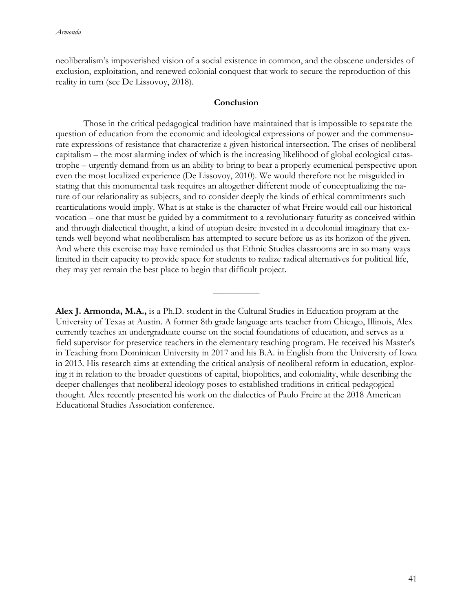neoliberalism's impoverished vision of a social existence in common, and the obscene undersides of exclusion, exploitation, and renewed colonial conquest that work to secure the reproduction of this reality in turn (see De Lissovoy, 2018).

## **Conclusion**

Those in the critical pedagogical tradition have maintained that is impossible to separate the question of education from the economic and ideological expressions of power and the commensurate expressions of resistance that characterize a given historical intersection. The crises of neoliberal capitalism – the most alarming index of which is the increasing likelihood of global ecological catastrophe – urgently demand from us an ability to bring to bear a properly ecumenical perspective upon even the most localized experience (De Lissovoy, 2010). We would therefore not be misguided in stating that this monumental task requires an altogether different mode of conceptualizing the nature of our relationality as subjects, and to consider deeply the kinds of ethical commitments such rearticulations would imply. What is at stake is the character of what Freire would call our historical vocation – one that must be guided by a commitment to a revolutionary futurity as conceived within and through dialectical thought, a kind of utopian desire invested in a decolonial imaginary that extends well beyond what neoliberalism has attempted to secure before us as its horizon of the given. And where this exercise may have reminded us that Ethnic Studies classrooms are in so many ways limited in their capacity to provide space for students to realize radical alternatives for political life, they may yet remain the best place to begin that difficult project.

**Alex J. Armonda, M.A.,** is a Ph.D. student in the Cultural Studies in Education program at the University of Texas at Austin. A former 8th grade language arts teacher from Chicago, Illinois, Alex currently teaches an undergraduate course on the social foundations of education, and serves as a field supervisor for preservice teachers in the elementary teaching program. He received his Master's in Teaching from Dominican University in 2017 and his B.A. in English from the University of Iowa in 2013. His research aims at extending the critical analysis of neoliberal reform in education, exploring it in relation to the broader questions of capital, biopolitics, and coloniality, while describing the deeper challenges that neoliberal ideology poses to established traditions in critical pedagogical thought. Alex recently presented his work on the dialectics of Paulo Freire at the 2018 American Educational Studies Association conference.

 $\overline{\phantom{a}}$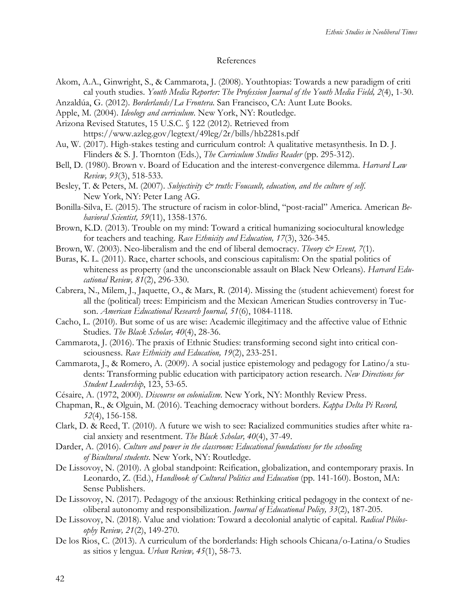#### References

- Akom, A.A., Ginwright, S., & Cammarota, J. (2008). Youthtopias: Towards a new paradigm of criti cal youth studies. *Youth Media Reporter: The Profession Journal of the Youth Media Field, 2*(4), 1-30.
- Anzaldúa, G. (2012). *Borderlands/La Frontera*. San Francisco, CA: Aunt Lute Books.
- Apple, M. (2004). *Ideology and curriculum*. New York, NY: Routledge.
- Arizona Revised Statutes, 15 U.S.C. § 122 (2012). Retrieved from https://www.azleg.gov/legtext/49leg/2r/bills/hb2281s.pdf
- Au, W. (2017). High-stakes testing and curriculum control: A qualitative metasynthesis. In D. J. Flinders & S. J. Thornton (Eds.), *The Curriculum Studies Reader* (pp. 295-312).
- Bell, D. (1980). Brown v. Board of Education and the interest-convergence dilemma. *Harvard Law Review, 93*(3), 518-533.
- Besley, T. & Peters, M. (2007). *Subjectivity & truth: Foucault, education, and the culture of self*. New York, NY: Peter Lang AG.
- Bonilla-Silva, E. (2015). The structure of racism in color-blind, "post-racial" America. American *Behavioral Scientist, 59*(11), 1358-1376.
- Brown, K.D. (2013). Trouble on my mind: Toward a critical humanizing sociocultural knowledge for teachers and teaching. *Race Ethnicity and Education, 17*(3), 326-345.
- Brown, W. (2003). Neo-liberalism and the end of liberal democracy. *Theory & Event, 7*(1).
- Buras, K. L. (2011). Race, charter schools, and conscious capitalism: On the spatial politics of whiteness as property (and the unconscionable assault on Black New Orleans). *Harvard Educational Review, 81*(2), 296-330.
- Cabrera, N., Milem, J., Jaquette, O., & Marx, R. (2014). Missing the (student achievement) forest for all the (political) trees: Empiricism and the Mexican American Studies controversy in Tucson. *American Educational Research Journal, 51*(6), 1084-1118.
- Cacho, L. (2010). But some of us are wise: Academic illegitimacy and the affective value of Ethnic Studies. *The Black Scholar, 40*(4), 28-36.
- Cammarota, J. (2016). The praxis of Ethnic Studies: transforming second sight into critical consciousness. *Race Ethnicity and Education, 19*(2), 233-251.
- Cammarota, J., & Romero, A. (2009). A social justice epistemology and pedagogy for Latino/a students: Transforming public education with participatory action research. *New Directions for Student Leadership*, 123, 53-65.
- Césaire, A. (1972, 2000). *Discourse on colonialism*. New York, NY: Monthly Review Press.
- Chapman, R., & Olguin, M. (2016). Teaching democracy without borders. *Kappa Delta Pi Record, 52*(4), 156-158.
- Clark, D. & Reed, T. (2010). A future we wish to see: Racialized communities studies after white racial anxiety and resentment. *The Black Scholar, 40*(4), 37-49.
- Darder, A. (2016). *Culture and power in the classroom: Educational foundations for the schooling of Bicultural students*. New York, NY: Routledge.
- De Lissovoy, N. (2010). A global standpoint: Reification, globalization, and contemporary praxis. In Leonardo, Z. (Ed.), *Handbook of Cultural Politics and Education* (pp. 141-160). Boston, MA: Sense Publishers.
- De Lissovoy, N. (2017). Pedagogy of the anxious: Rethinking critical pedagogy in the context of neoliberal autonomy and responsibilization. *Journal of Educational Policy, 33*(2), 187-205.
- De Lissovoy, N. (2018). Value and violation: Toward a decolonial analytic of capital. *Radical Philosophy Review, 21*(2), 149-270.
- De los Rios, C. (2013). A curriculum of the borderlands: High schools Chicana/o-Latina/o Studies as sitios y lengua. *Urban Review, 45*(1), 58-73.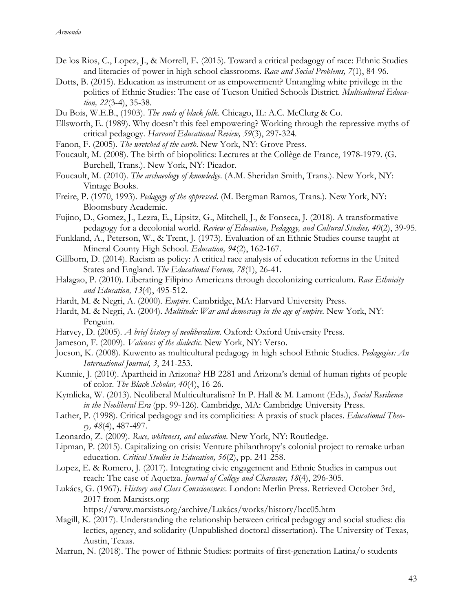- De los Rios, C., Lopez, J., & Morrell, E. (2015). Toward a critical pedagogy of race: Ethnic Studies and literacies of power in high school classrooms. *Race and Social Problems, 7*(1), 84-96.
- Dotts, B. (2015). Education as instrument or as empowerment? Untangling white privilege in the politics of Ethnic Studies: The case of Tucson Unified Schools District. *Multicultural Education, 22*(3-4), 35-38.
- Du Bois, W.E.B., (1903). *The souls of black folk*. Chicago, IL: A.C. McClurg & Co.
- Ellsworth, E. (1989). Why doesn't this feel empowering? Working through the repressive myths of critical pedagogy. *Harvard Educational Review, 59*(3), 297-324.
- Fanon, F. (2005). *The wretched of the earth*. New York, NY: Grove Press.
- Foucault, M. (2008). The birth of biopolitics: Lectures at the Collège de France, 1978-1979. (G. Burchell, Trans.). New York, NY: Picador.
- Foucault, M. (2010). *The archaeology of knowledge*. (A.M. Sheridan Smith, Trans.). New York, NY: Vintage Books.
- Freire, P. (1970, 1993). *Pedagogy of the oppressed*. (M. Bergman Ramos, Trans.). New York, NY: Bloomsbury Academic.
- Fujino, D., Gomez, J., Lezra, E., Lipsitz, G., Mitchell, J., & Fonseca, J. (2018). A transformative pedagogy for a decolonial world. *Review of Education, Pedagogy, and Cultural Studies, 40*(2), 39-95.
- Funkland, A., Peterson, W., & Trent, J. (1973). Evaluation of an Ethnic Studies course taught at Mineral County High School. *Education, 94*(2), 162-167.
- Gillborn, D. (2014). Racism as policy: A critical race analysis of education reforms in the United States and England. *The Educational Forum, 78*(1), 26-41.
- Halagao, P. (2010). Liberating Filipino Americans through decolonizing curriculum. *Race Ethnicity and Education, 13*(4), 495-512.
- Hardt, M. & Negri, A. (2000). *Empire*. Cambridge, MA: Harvard University Press.
- Hardt, M. & Negri, A. (2004). *Multitude: War and democracy in the age of empire*. New York, NY: Penguin.
- Harvey, D. (2005). *A brief history of neoliberalism*. Oxford: Oxford University Press.
- Jameson, F. (2009). *Valences of the dialectic*. New York, NY: Verso.
- Jocson, K. (2008). Kuwento as multicultural pedagogy in high school Ethnic Studies. *Pedagogies: An International Journal, 3*, 241-253.
- Kunnie, J. (2010). Apartheid in Arizona? HB 2281 and Arizona's denial of human rights of people of color. *The Black Scholar, 40*(4), 16-26.
- Kymlicka, W. (2013). Neoliberal Multiculturalism? In P. Hall & M. Lamont (Eds.), *Social Resilience in the Neoliberal Era* (pp. 99-126). Cambridge, MA: Cambridge University Press.
- Lather, P. (1998). Critical pedagogy and its complicities: A praxis of stuck places. *Educational Theory, 48*(4), 487-497.
- Leonardo, Z. (2009). *Race, whiteness, and education*. New York, NY: Routledge.
- Lipman, P. (2015). Capitalizing on crisis: Venture philanthropy's colonial project to remake urban education. *Critical Studies in Education, 56*(2), pp. 241-258.
- Lopez, E. & Romero, J. (2017). Integrating civic engagement and Ethnic Studies in campus out reach: The case of Aquetza. *Journal of College and Character, 18*(4), 296-305.
- Lukács, G. (1967). *History and Class Consciousness*. London: Merlin Press. Retrieved October 3rd, 2017 from Marxists.org:

https://www.marxists.org/archive/Lukács/works/history/hcc05.htm

- Magill, K. (2017). Understanding the relationship between critical pedagogy and social studies: dia lectics, agency, and solidarity (Unpublished doctoral dissertation). The University of Texas, Austin, Texas.
- Marrun, N. (2018). The power of Ethnic Studies: portraits of first-generation Latina/o students